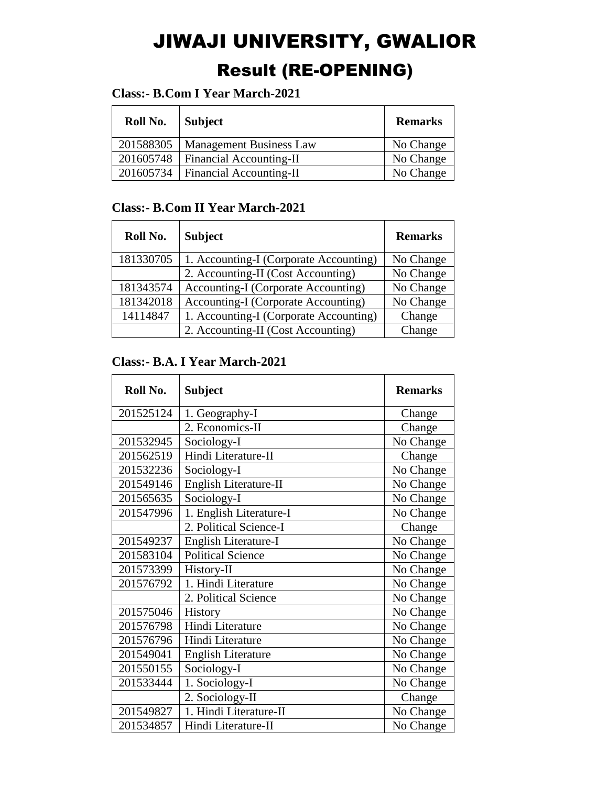# JIWAJI UNIVERSITY, GWALIOR Result (RE-OPENING)

## **Class:- B.Com I Year March-2021**

| Roll No.  | <b>Subject</b>                      | <b>Remarks</b> |
|-----------|-------------------------------------|----------------|
| 201588305 | <b>Management Business Law</b>      | No Change      |
| 201605748 | <b>Financial Accounting-II</b>      | No Change      |
|           | 201605734   Financial Accounting-II | No Change      |

#### **Class:- B.Com II Year March-2021**

| Roll No.  | <b>Subject</b>                             | <b>Remarks</b> |
|-----------|--------------------------------------------|----------------|
| 181330705 | 1. Accounting-I (Corporate Accounting)     | No Change      |
|           | 2. Accounting-II (Cost Accounting)         | No Change      |
| 181343574 | <b>Accounting-I</b> (Corporate Accounting) | No Change      |
| 181342018 | <b>Accounting-I</b> (Corporate Accounting) | No Change      |
| 14114847  | 1. Accounting-I (Corporate Accounting)     | Change         |
|           | 2. Accounting-II (Cost Accounting)         | Change         |

## **Class:- B.A. I Year March-2021**

| Roll No.  | <b>Subject</b>            | <b>Remarks</b> |
|-----------|---------------------------|----------------|
| 201525124 | 1. Geography-I            | Change         |
|           | 2. Economics-II           | Change         |
| 201532945 | Sociology-I               | No Change      |
| 201562519 | Hindi Literature-II       | Change         |
| 201532236 | Sociology-I               | No Change      |
| 201549146 | English Literature-II     | No Change      |
| 201565635 | Sociology-I               | No Change      |
| 201547996 | 1. English Literature-I   | No Change      |
|           | 2. Political Science-I    | Change         |
| 201549237 | English Literature-I      | No Change      |
| 201583104 | <b>Political Science</b>  | No Change      |
| 201573399 | History-II                | No Change      |
| 201576792 | 1. Hindi Literature       | No Change      |
|           | 2. Political Science      | No Change      |
| 201575046 | History                   | No Change      |
| 201576798 | Hindi Literature          | No Change      |
| 201576796 | Hindi Literature          | No Change      |
| 201549041 | <b>English Literature</b> | No Change      |
| 201550155 | Sociology-I               | No Change      |
| 201533444 | 1. Sociology-I            | No Change      |
|           | 2. Sociology-II           | Change         |
| 201549827 | 1. Hindi Literature-II    | No Change      |
| 201534857 | Hindi Literature-II       | No Change      |